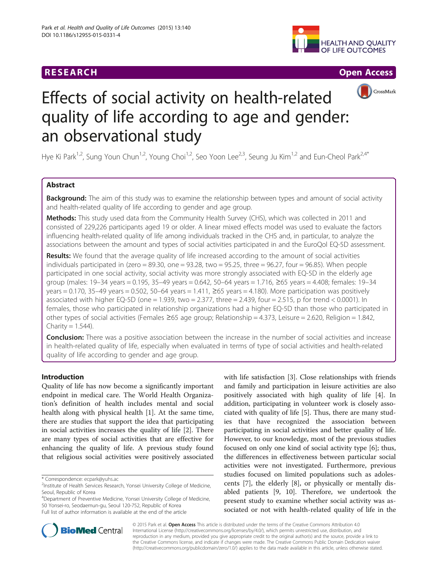# **RESEARCH CHE Open Access**





# Effects of social activity on health-related quality of life according to age and gender: an observational study

Hye Ki Park<sup>1,2</sup>, Sung Youn Chun<sup>1,2</sup>, Young Choi<sup>1,2</sup>, Seo Yoon Lee<sup>2,3</sup>, Seung Ju Kim<sup>1,2</sup> and Eun-Cheol Park<sup>2,4\*</sup>

# Abstract

Background: The aim of this study was to examine the relationship between types and amount of social activity and health-related quality of life according to gender and age group.

Methods: This study used data from the Community Health Survey (CHS), which was collected in 2011 and consisted of 229,226 participants aged 19 or older. A linear mixed effects model was used to evaluate the factors influencing health-related quality of life among individuals tracked in the CHS and, in particular, to analyze the associations between the amount and types of social activities participated in and the EuroQol EQ-5D assessment.

Results: We found that the average quality of life increased according to the amount of social activities individuals participated in (zero = 89.30, one = 93.28, two = 95.25, three = 96.27, four = 96.85). When people participated in one social activity, social activity was more strongly associated with EQ-5D in the elderly age group (males: 19–34 years = 0.195, 35–49 years = 0.642, 50–64 years = 1.716, ≥65 years = 4.408; females: 19–34 years = 0.170, 35–49 years = 0.502, 50–64 years = 1.411,  $\geq$ 65 years = 4.180). More participation was positively associated with higher EQ-5D (one = 1.939, two = 2.377, three = 2.439, four = 2.515, p for trend < 0.0001). In females, those who participated in relationship organizations had a higher EQ-5D than those who participated in other types of social activities (Females ≥65 age group; Relationship = 4.373, Leisure = 2.620, Religion = 1.842, Charity  $= 1.544$ ).

Conclusion: There was a positive association between the increase in the number of social activities and increase in health-related quality of life, especially when evaluated in terms of type of social activities and health-related quality of life according to gender and age group.

# Introduction

Quality of life has now become a significantly important endpoint in medical care. The World Health Organization's definition of health includes mental and social health along with physical health [\[1](#page-8-0)]. At the same time, there are studies that support the idea that participating in social activities increases the quality of life [[2](#page-8-0)]. There are many types of social activities that are effective for enhancing the quality of life. A previous study found that religious social activities were positively associated

\* Correspondence: [ecpark@yuhs.ac](mailto:ecpark@yuhs.ac) <sup>2</sup>

4 Department of Preventive Medicine, Yonsei University College of Medicine, 50 Yonsei-ro, Seodaemun-gu, Seoul 120-752, Republic of Korea Full list of author information is available at the end of the article

with life satisfaction [\[3](#page-8-0)]. Close relationships with friends and family and participation in leisure activities are also positively associated with high quality of life [[4\]](#page-8-0). In addition, participating in volunteer work is closely associated with quality of life [\[5\]](#page-8-0). Thus, there are many studies that have recognized the association between participating in social activities and better quality of life. However, to our knowledge, most of the previous studies focused on only one kind of social activity type [\[6](#page-8-0)]; thus, the differences in effectiveness between particular social activities were not investigated. Furthermore, previous studies focused on limited populations such as adolescents [\[7](#page-8-0)], the elderly [[8\]](#page-8-0), or physically or mentally disabled patients [[9, 10](#page-8-0)]. Therefore, we undertook the present study to examine whether social activity was associated or not with health-related quality of life in the



© 2015 Park et al. Open Access This article is distributed under the terms of the Creative Commons Attribution 4.0 International License [\(http://creativecommons.org/licenses/by/4.0/](http://creativecommons.org/licenses/by/4.0/)), which permits unrestricted use, distribution, and reproduction in any medium, provided you give appropriate credit to the original author(s) and the source, provide a link to the Creative Commons license, and indicate if changes were made. The Creative Commons Public Domain Dedication waiver [\(http://creativecommons.org/publicdomain/zero/1.0/](http://creativecommons.org/publicdomain/zero/1.0/)) applies to the data made available in this article, unless otherwise stated.

<sup>&</sup>lt;sup>2</sup>Institute of Health Services Research, Yonsei University College of Medicine, Seoul, Republic of Korea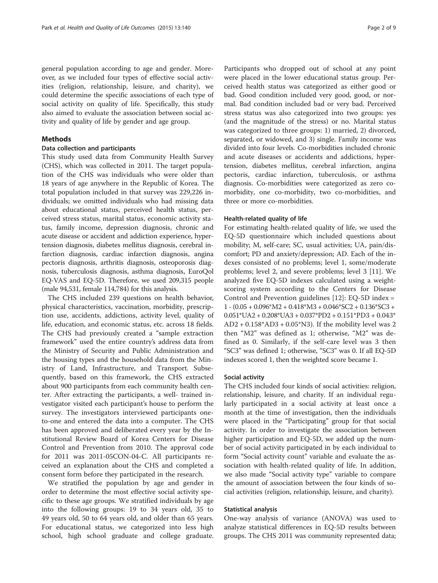general population according to age and gender. Moreover, as we included four types of effective social activities (religion, relationship, leisure, and charity), we could determine the specific associations of each type of social activity on quality of life. Specifically, this study also aimed to evaluate the association between social activity and quality of life by gender and age group.

# Methods

# Data collection and participants

This study used data from Community Health Survey (CHS), which was collected in 2011. The target population of the CHS was individuals who were older than 18 years of age anywhere in the Republic of Korea. The total population included in that survey was 229,226 individuals; we omitted individuals who had missing data about educational status, perceived health status, perceived stress status, marital status, economic activity status, family income, depression diagnosis, chronic and acute disease or accident and addiction experience, hypertension diagnosis, diabetes mellitus diagnosis, cerebral infarction diagnosis, cardiac infarction diagnosis, angina pectoris diagnosis, arthritis diagnosis, osteoporosis diagnosis, tuberculosis diagnosis, asthma diagnosis, EuroQol EQ-VAS and EQ-5D. Therefore, we used 209,315 people (male 94,531, female 114,784) for this analysis.

The CHS included 239 questions on health behavior, physical characteristics, vaccination, morbidity, prescription use, accidents, addictions, activity level, quality of life, education, and economic status, etc. across 18 fields. The CHS had previously created a "sample extraction framework" used the entire country's address data from the Ministry of Security and Public Administration and the housing types and the household data from the Ministry of Land, Infrastructure, and Transport. Subsequently, based on this framework, the CHS extracted about 900 participants from each community health center. After extracting the participants, a well- trained investigator visited each participant's house to perform the survey. The investigators interviewed participants oneto-one and entered the data into a computer. The CHS has been approved and deliberated every year by the Institutional Review Board of Korea Centers for Disease Control and Prevention from 2010. The approval code for 2011 was 2011-05CON-04-C. All participants received an explanation about the CHS and completed a consent form before they participated in the research.

We stratified the population by age and gender in order to determine the most effective social activity specific to these age groups. We stratified individuals by age into the following groups: 19 to 34 years old, 35 to 49 years old, 50 to 64 years old, and older than 65 years. For educational status, we categorized into less high school, high school graduate and college graduate.

Participants who dropped out of school at any point were placed in the lower educational status group. Perceived health status was categorized as either good or bad. Good condition included very good, good, or normal. Bad condition included bad or very bad. Perceived stress status was also categorized into two groups: yes (and the magnitude of the stress) or no. Marital status was categorized to three groups: 1) married, 2) divorced, separated, or widowed, and 3) single. Family income was divided into four levels. Co-morbidities included chronic and acute diseases or accidents and addictions, hypertension, diabetes mellitus, cerebral infarction, angina pectoris, cardiac infarction, tuberculosis, or asthma diagnosis. Co-morbidities were categorized as zero comorbidity, one co-morbidity, two co-morbidities, and three or more co-morbidities.

#### Health-related quality of life

For estimating health-related quality of life, we used the EQ-5D questionnaire which included questions about mobility; M, self-care; SC, usual activities; UA, pain/discomfort; PD and anxiety/depression; AD. Each of the indexes consisted of no problems; level 1, some/moderate problems; level 2, and severe problems; level 3 [[11](#page-8-0)]. We analyzed five EQ-5D indexes calculated using a weightscoring system according to the Centers for Disease Control and Prevention guidelines [[12](#page-8-0)]: EQ-5D index = 1 - (0.05 + 0.096\*M2 + 0.418\*M3 + 0.046\*SC2 + 0.136\*SC3 +  $0.051*UA2 + 0.208*UA3 + 0.037*PD2 + 0.151*PD3 + 0.043*$  $AD2 + 0.158*AD3 + 0.05*N3$ . If the mobility level was 2 then "M2" was defined as 1; otherwise, "M2" was defined as 0. Similarly, if the self-care level was 3 then "SC3" was defined 1; otherwise, "SC3" was 0. If all EQ-5D indexes scored 1, then the weighted score became 1.

## Social activity

The CHS included four kinds of social activities: religion, relationship, leisure, and charity. If an individual regularly participated in a social activity at least once a month at the time of investigation, then the individuals were placed in the "Participating" group for that social activity. In order to investigate the association between higher participation and EQ-5D, we added up the number of social activity participated in by each individual to form "Social activity count" variable and evaluate the association with health-related quality of life. In addition, we also made "Social activity type" variable to compare the amount of association between the four kinds of social activities (religion, relationship, leisure, and charity).

#### Statistical analysis

One-way analysis of variance (ANOVA) was used to analyze statistical differences in EQ-5D results between groups. The CHS 2011 was community represented data;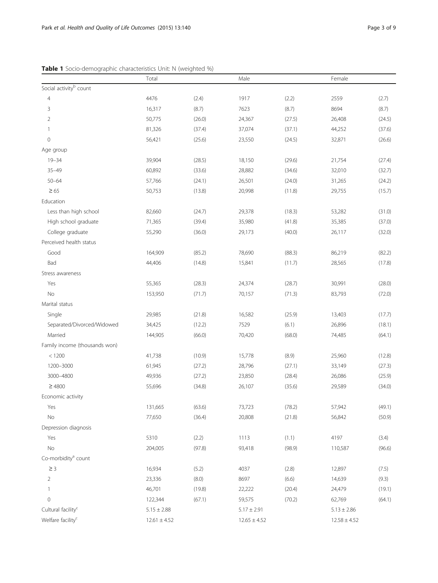<span id="page-2-0"></span>

|                                    | Total            |        |                 |        | Female           |        |  |
|------------------------------------|------------------|--------|-----------------|--------|------------------|--------|--|
| Social activity <sup>b</sup> count |                  |        |                 |        |                  |        |  |
| $\overline{4}$                     | 4476             | (2.4)  | 1917            | (2.2)  | 2559             | (2.7)  |  |
| 3                                  | 16,317           | (8.7)  | 7623            | (8.7)  | 8694             | (8.7)  |  |
| 2                                  | 50,775           | (26.0) | 24,367          | (27.5) | 26,408           | (24.5) |  |
| 1                                  | 81,326           | (37.4) | 37,074          | (37.1) | 44,252           | (37.6) |  |
| $\overline{0}$                     | 56,421           | (25.6) | 23,550          | (24.5) | 32,871           | (26.6) |  |
| Age group                          |                  |        |                 |        |                  |        |  |
| $19 - 34$                          | 39,904           | (28.5) | 18,150          | (29.6) | 21,754           | (27.4) |  |
| $35 - 49$                          | 60,892           | (33.6) | 28,882          | (34.6) | 32,010           | (32.7) |  |
| $50 - 64$                          | 57,766           | (24.1) | 26,501          | (24.0) | 31,265           | (24.2) |  |
| $\geq 65$                          | 50,753           | (13.8) | 20,998          | (11.8) | 29,755           | (15.7) |  |
| Education                          |                  |        |                 |        |                  |        |  |
| Less than high school              | 82,660           | (24.7) | 29,378          | (18.3) | 53,282           | (31.0) |  |
| High school graduate               | 71,365           | (39.4) | 35,980          | (41.8) | 35,385           | (37.0) |  |
| College graduate                   | 55,290           | (36.0) | 29,173          | (40.0) | 26,117           | (32.0) |  |
| Perceived health status            |                  |        |                 |        |                  |        |  |
| Good                               | 164,909          | (85.2) | 78,690          | (88.3) | 86,219           | (82.2) |  |
| Bad                                | 44,406           | (14.8) | 15,841          | (11.7) | 28,565           | (17.8) |  |
| Stress awareness                   |                  |        |                 |        |                  |        |  |
| Yes                                | 55,365           | (28.3) | 24,374          | (28.7) | 30,991           | (28.0) |  |
| No                                 | 153,950          | (71.7) | 70,157          | (71.3) | 83,793           | (72.0) |  |
| Marital status                     |                  |        |                 |        |                  |        |  |
| Single                             | 29,985           | (21.8) | 16,582          | (25.9) | 13,403           | (17.7) |  |
| Separated/Divorced/Widowed         | 34,425           | (12.2) | 7529            | (6.1)  | 26,896           | (18.1) |  |
| Married                            | 144,905          | (66.0) | 70,420          | (68.0) | 74,485           | (64.1) |  |
| Family income (thousands won)      |                  |        |                 |        |                  |        |  |
| < 1200                             | 41,738           | (10.9) | 15,778          | (8.9)  | 25,960           | (12.8) |  |
| 1200-3000                          | 61,945           | (27.2) | 28,796          | (27.1) | 33,149           | (27.3) |  |
| 3000-4800                          | 49,936           | (27.2) | 23,850          | (28.4) | 26,086           | (25.9) |  |
| $\geq 4800$                        | 55,696           | (34.8) | 26,107          | (35.6) | 29,589           | (34.0) |  |
| Economic activity                  |                  |        |                 |        |                  |        |  |
| Yes                                | 131,665          | (63.6) | 73,723          | (78.2) | 57,942           | (49.1) |  |
| $\rm No$                           | 77,650           | (36.4) | 20,808          | (21.8) | 56,842           | (50.9) |  |
| Depression diagnosis               |                  |        |                 |        |                  |        |  |
| Yes                                | 5310             | (2.2)  | 1113            | (1.1)  | 4197             | (3.4)  |  |
| No                                 | 204,005          | (97.8) | 93,418          | (98.9) | 110,587          | (96.6) |  |
| Co-morbidity <sup>a</sup> count    |                  |        |                 |        |                  |        |  |
| $\geq 3$                           | 16,934           | (5.2)  | 4037            | (2.8)  | 12,897           | (7.5)  |  |
| 2                                  | 23,336           | (8.0)  | 8697            | (6.6)  | 14,639           | (9.3)  |  |
| 1                                  | 46,701           | (19.8) | 22,222          | (20.4) | 24,479           | (19.1) |  |
| $\mathbf 0$                        | 122,344          | (67.1) | 59,575          | (70.2) | 62,769           | (64.1) |  |
| Cultural facility <sup>c</sup>     | $5.15 \pm 2.88$  |        | $5.17 \pm 2.91$ |        | $5.13 \pm 2.86$  |        |  |
| Welfare facility <sup>c</sup>      | $12.61 \pm 4.52$ |        |                 |        | $12.58 \pm 4.52$ |        |  |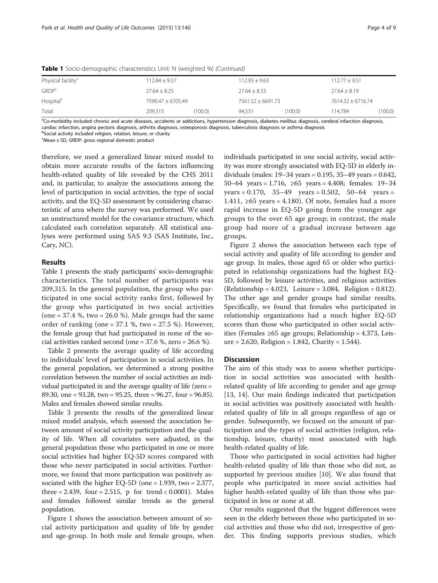| Physical facility <sup>c</sup> | $112.84 \pm 9.57$ |         | $112.93 + 9.63$     |         | $112.77 \pm 9.51$   |         |
|--------------------------------|-------------------|---------|---------------------|---------|---------------------|---------|
| <b>GRDP</b> <sup>c</sup>       | $27.64 \pm 8.25$  |         | $27.64 \pm 8.33$    |         | $27.64 \pm 8.19$    |         |
| Hospital <sup>c</sup>          | 7590.47 ± 6705.49 |         | $7561.52 + 6691.73$ |         | $7614.32 + 6716.74$ |         |
| Total                          | 209.315           | (100.0) | 94.531              | (100.0) | 114.784             | (100.0) |

**Table 1** Socio-demographic characteristics Unit: N (weighted %) (Continued)

<sup>a</sup>Co-morbidity included chronic and acute diseases, accidents or addictions, hypertension diagnosis, diabetes mellitus diagnosis, cerebral infarction diagnosis, cardiac infarction, angina pectoris diagnosis, arthritis diagnosis, osteoporosis diagnosis, tuberculosis diagnosis or asthma diagnosis

<sup>b</sup>Social activity included religion, relation, leisure, or charity

c Mean ± SD, GRDP: gross regional domestic product

therefore, we used a generalized linear mixed model to obtain more accurate results of the factors influencing health-related quality of life revealed by the CHS 2011 and, in particular, to analyze the associations among the level of participation in social activities, the type of social activity, and the EQ-5D assessment by considering characteristic of area where the survey was performed. We used an unstructured model for the covariance structure, which calculated each correlation separately. All statistical analyses were performed using SAS 9.3 (SAS Institute, Inc., Cary, NC).

#### Results

Table [1](#page-2-0) presents the study participants' socio-demographic characteristics. The total number of participants was 209,315. In the general population, the group who participated in one social activity ranks first, followed by the group who participated in two social activities  $(one = 37.4 %$ , two = 26.0%). Male groups had the same order of ranking (one  $= 37.1$  %, two  $= 27.5$  %). However, the female group that had participated in none of the social activities ranked second (one = 37.6 %, zero = 26.6 %).

Table [2](#page-4-0) presents the average quality of life according to individuals' level of participation in social activities. In the general population, we determined a strong positive correlation between the number of social activities an individual participated in and the average quality of life (zero = 89.30, one = 93.28, two = 95.25, three = 96.27, four = 96.85). Males and females showed similar results.

Table [3](#page-5-0) presents the results of the generalized linear mixed model analysis, which assessed the association between amount of social activity participation and the quality of life. When all covariates were adjusted, in the general population those who participated in one or more social activities had higher EQ-5D scores compared with those who never participated in social activities. Furthermore, we found that more participation was positively associated with the higher EQ-5D (one = 1.939, two = 2.377, three = 2.439, four = 2.515, p for trend <  $0.0001$ ). Males and females followed similar trends as the general population.

Figure [1](#page-6-0) shows the association between amount of social activity participation and quality of life by gender and age-group. In both male and female groups, when

individuals participated in one social activity, social activity was more strongly associated with EQ-5D in elderly individuals (males: 19–34 years = 0.195, 35–49 years = 0.642, 50–64 years = 1.716, ≥65 years = 4.408; females: 19–34  $years = 0.170$ ,  $35-49$  years = 0.502,  $50-64$  years = 1.411, ≥65 years = 4.180). Of note, females had a more rapid increase in EQ-5D going from the younger age groups to the over 65 age group; in contrast, the male group had more of a gradual increase between age groups.

Figure [2](#page-7-0) shows the association between each type of social activity and quality of life according to gender and age group. In males, those aged 65 or older who participated in relationship organizations had the highest EQ-5D, followed by leisure activities, and religious activities (Relationship = 4.023, Leisure = 3.084, Religion = 0.812). The other age and gender groups had similar results. Specifically, we found that females who participated in relationship organizations had a much higher EQ-5D scores than those who participated in other social activities (Females ≥65 age groups; Relationship = 4.373, Leis $ure = 2.620$ , Religion = 1.842, Charity = 1.544).

# **Discussion**

The aim of this study was to assess whether participation in social activities was associated with healthrelated quality of life according to gender and age group [[13, 14\]](#page-8-0). Our main findings indicated that participation in social activities was positively associated with healthrelated quality of life in all groups regardless of age or gender. Subsequently, we focused on the amount of participation and the types of social activities (religion, relationship, leisure, charity) most associated with high health-related quality of life.

Those who participated in social activities had higher health-related quality of life than those who did not, as supported by previous studies [\[10](#page-8-0)]. We also found that people who participated in more social activities had higher health-related quality of life than those who participated in less or none at all.

Our results suggested that the biggest differences were seen in the elderly between those who participated in social activities and those who did not, irrespective of gender. This finding supports previous studies, which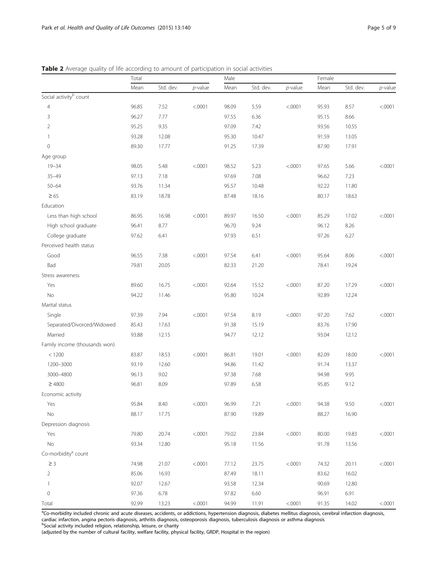|                                    | Total |           |            | Male  |           |            | Female |           |          |
|------------------------------------|-------|-----------|------------|-------|-----------|------------|--------|-----------|----------|
|                                    | Mean  | Std. dev. | $p$ -value | Mean  | Std. dev. | $p$ -value | Mean   | Std. dev. | p-value  |
| Social activity <sup>b</sup> count |       |           |            |       |           |            |        |           |          |
| $\overline{4}$                     | 96.85 | 7.52      | < .0001    | 98.09 | 5.59      | < .0001    | 95.93  | 8.57      | < .0001  |
| 3                                  | 96.27 | 7.77      |            | 97.55 | 6.36      |            | 95.15  | 8.66      |          |
| $\overline{2}$                     | 95.25 | 9.35      |            | 97.09 | 7.42      |            | 93.56  | 10.55     |          |
| $\mathbf{1}$                       | 93.28 | 12.08     |            | 95.30 | 10.47     |            | 91.59  | 13.05     |          |
| $\mathbf 0$                        | 89.30 | 17.77     |            | 91.25 | 17.39     |            | 87.90  | 17.91     |          |
| Age group                          |       |           |            |       |           |            |        |           |          |
| $19 - 34$                          | 98.05 | 5.48      | < .0001    | 98.52 | 5.23      | < .0001    | 97.65  | 5.66      | < .0001  |
| $35 - 49$                          | 97.13 | 7.18      |            | 97.69 | 7.08      |            | 96.62  | 7.23      |          |
| $50 - 64$                          | 93.76 | 11.34     |            | 95.57 | 10.48     |            | 92.22  | 11.80     |          |
| $\geq 65$                          | 83.19 | 18.78     |            | 87.48 | 18.16     |            | 80.17  | 18.63     |          |
| Education                          |       |           |            |       |           |            |        |           |          |
| Less than high school              | 86.95 | 16.98     | < .0001    | 89.97 | 16.50     | < .0001    | 85.29  | 17.02     | < .0001  |
| High school graduate               | 96.41 | 8.77      |            | 96.70 | 9.24      |            | 96.12  | 8.26      |          |
| College graduate                   | 97.62 | 6.41      |            | 97.93 | 6.51      |            | 97.26  | 6.27      |          |
| Perceived health status            |       |           |            |       |           |            |        |           |          |
| Good                               | 96.55 | 7.38      | < .0001    | 97.54 | 6.41      | < .0001    | 95.64  | 8.06      | < .0001  |
| Bad                                | 79.81 | 20.05     |            | 82.33 | 21.20     |            | 78.41  | 19.24     |          |
| Stress awareness                   |       |           |            |       |           |            |        |           |          |
| Yes                                | 89.60 | 16.75     | < .0001    | 92.64 | 15.52     | < .0001    | 87.20  | 17.29     | < .0001  |
| No                                 | 94.22 | 11.46     |            | 95.80 | 10.24     |            | 92.89  | 12.24     |          |
| Marital status                     |       |           |            |       |           |            |        |           |          |
| Single                             | 97.39 | 7.94      | < .0001    | 97.54 | 8.19      | < .0001    | 97.20  | 7.62      | < .0001  |
| Separated/Divorced/Widowed         | 85.43 | 17.63     |            | 91.38 | 15.19     |            | 83.76  | 17.90     |          |
| Married                            | 93.88 | 12.15     |            | 94.77 | 12.12     |            | 93.04  | 12.12     |          |
| Family income (thousands won)      |       |           |            |       |           |            |        |           |          |
| < 1200                             | 83.87 | 18.53     | < .0001    | 86.81 | 19.01     | < .0001    | 82.09  | 18.00     | < .0001  |
| 1200-3000                          | 93.19 | 12.60     |            | 94.86 | 11.42     |            | 91.74  | 13.37     |          |
| 3000-4800                          | 96.13 | 9.02      |            | 97.38 | 7.68      |            | 94.98  | 9.95      |          |
| $\geq 4800$                        | 96.81 | 8.09      |            | 97.89 | 6.58      |            | 95.85  | 9.12      |          |
| Economic activity                  |       |           |            |       |           |            |        |           |          |
| Yes                                | 95.84 | 8.40      | < .0001    | 96.99 | 7.21      | < .0001    | 94.38  | 9.50      | < 0.0001 |
| No                                 | 88.17 | 17.75     |            | 87.90 | 19.89     |            | 88.27  | 16.90     |          |
| Depression diagnosis               |       |           |            |       |           |            |        |           |          |
| Yes                                | 79.80 | 20.74     | < .0001    | 79.02 | 23.84     | < .0001    | 80.00  | 19.83     | < .0001  |
| No                                 | 93.34 | 12.80     |            | 95.18 | 11.56     |            | 91.78  | 13.56     |          |
| Co-morbidity <sup>a</sup> count    |       |           |            |       |           |            |        |           |          |
| $\geq$ 3                           | 74.98 | 21.07     | < .0001    | 77.12 | 23.75     | < .0001    | 74.32  | 20.11     | < .0001  |
| $\overline{2}$                     | 85.06 | 16.93     |            | 87.49 | 18.11     |            | 83.62  | 16.02     |          |
| $\mathbf{1}$                       | 92.07 | 12.67     |            | 93.58 | 12.34     |            | 90.69  | 12.80     |          |
| $\mathbb O$                        | 97.36 | 6.78      |            | 97.82 | 6.60      |            | 96.91  | 6.91      |          |
| Total                              | 92.99 | 13.23     | < .0001    | 94.99 | 11.91     | < .0001    | 91.35  | 14.02     | < .0001  |

<span id="page-4-0"></span>Table 2 Average quality of life according to amount of participation in social activities

<sup>a</sup>Co-morbidity included chronic and acute diseases, accidents, or addictions, hypertension diagnosis, diabetes mellitus diagnosis, cerebral infarction diagnosis, cardiac infarction, angina pectoris diagnosis, arthritis diagnosis, osteoporosis diagnosis, tuberculosis diagnosis or asthma diagnosis<br><sup>b</sup>Social activity included religion, relationship, leisure, or charity

(adjusted by the number of cultural facility, welfare facility, physical facility, GRDP, Hospital in the region)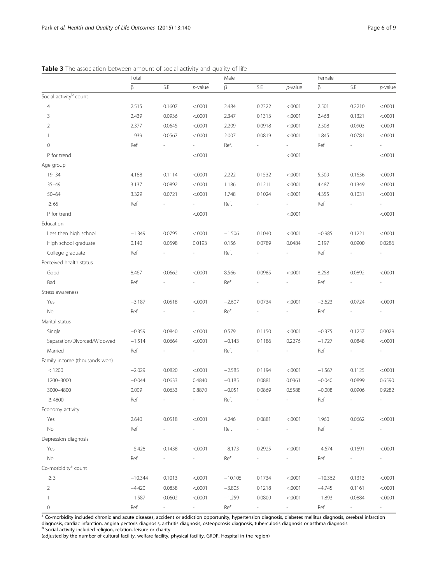|                                    | Total     |                     |                     | Male      |                     |                     | Female    |                     |         |
|------------------------------------|-----------|---------------------|---------------------|-----------|---------------------|---------------------|-----------|---------------------|---------|
|                                    | β         | S.E                 | $p$ -value          | $\beta$   | S.E                 | $p$ -value          | β         | S.E                 | p-value |
| Social activity <sup>b</sup> count |           |                     |                     |           |                     |                     |           |                     |         |
| $\overline{4}$                     | 2.515     | 0.1607              | < .0001             | 2.484     | 0.2322              | < .0001             | 2.501     | 0.2210              | < .0001 |
| $\mathsf 3$                        | 2.439     | 0.0936              | < .0001             | 2.347     | 0.1313              | < .0001             | 2.468     | 0.1321              | < .0001 |
| $\overline{2}$                     | 2.377     | 0.0645              | < .0001             | 2.209     | 0.0918              | < .0001             | 2.508     | 0.0903              | < .0001 |
| $\overline{1}$                     | 1.939     | 0.0567              | < .0001             | 2.007     | 0.0819              | < .0001             | 1.845     | 0.0781              | < .0001 |
| $\mathbf 0$                        | Ref.      |                     |                     | Ref.      |                     |                     | Ref.      |                     |         |
| P for trend                        |           |                     | < .0001             |           |                     | < .0001             |           |                     | < .0001 |
| Age group                          |           |                     |                     |           |                     |                     |           |                     |         |
| $19 - 34$                          | 4.188     | 0.1114              | < .0001             | 2.222     | 0.1532              | < .0001             | 5.509     | 0.1636              | < .0001 |
| $35 - 49$                          | 3.137     | 0.0892              | < .0001             | 1.186     | 0.1211              | < .0001             | 4.487     | 0.1349              | < .0001 |
| $50 - 64$                          | 3.329     | 0.0721              | < .0001             | 1.748     | 0.1024              | < .0001             | 4.355     | 0.1031              | < .0001 |
| $\geq 65$                          | Ref.      |                     |                     | Ref.      |                     |                     | Ref.      |                     |         |
| P for trend                        |           |                     | < .0001             |           |                     | < .0001             |           |                     | < .0001 |
| Education                          |           |                     |                     |           |                     |                     |           |                     |         |
| Less then high school              | $-1.349$  | 0.0795              | < .0001             | $-1.506$  | 0.1040              | < .0001             | $-0.985$  | 0.1221              | < .0001 |
| High school graduate               | 0.140     | 0.0598              | 0.0193              | 0.156     | 0.0789              | 0.0484              | 0.197     | 0.0900              | 0.0286  |
| College graduate                   | Ref.      |                     | ÷,                  | Ref.      |                     |                     | Ref.      |                     |         |
| Perceived health status            |           |                     |                     |           |                     |                     |           |                     |         |
| Good                               | 8.467     | 0.0662              | < .0001             | 8.566     | 0.0985              | < .0001             | 8.258     | 0.0892              | < .0001 |
| Bad                                | Ref.      |                     |                     | Ref.      |                     |                     | Ref.      |                     |         |
| Stress awareness                   |           |                     |                     |           |                     |                     |           |                     |         |
| Yes                                | $-3.187$  | 0.0518              | < .0001             | $-2.607$  | 0.0734              | < .0001             | $-3.623$  | 0.0724              | < .0001 |
| No                                 | Ref.      |                     |                     | Ref.      |                     |                     | Ref.      |                     |         |
| Marital status                     |           |                     |                     |           |                     |                     |           |                     |         |
| Single                             | $-0.359$  | 0.0840              | < .0001             | 0.579     | 0.1150              | < .0001             | $-0.375$  | 0.1257              | 0.0029  |
| Separation/Divorced/Widowed        | $-1.514$  | 0.0664              | < .0001             | $-0.143$  | 0.1186              | 0.2276              | $-1.727$  | 0.0848              | < .0001 |
| Married                            | Ref.      |                     |                     | Ref.      |                     |                     | Ref.      |                     |         |
| Family income (thousands won)      |           |                     |                     |           |                     |                     |           |                     |         |
| < 1200                             | $-2.029$  | 0.0820              | < .0001             | $-2.585$  | 0.1194              | < .0001             | $-1.567$  | 0.1125              | < .0001 |
| 1200-3000                          | $-0.044$  | 0.0633              | 0.4840              | $-0.185$  | 0.0881              | 0.0361              | $-0.040$  | 0.0899              | 0.6590  |
| 3000-4800                          | 0.009     | 0.0633              | 0.8870              | $-0.051$  | 0.0869              | 0.5588              | $-0.008$  | 0.0906              | 0.9282  |
| $\geq 4800$                        | Ref.      |                     |                     | Ref.      |                     |                     | Ref.      |                     |         |
| Economy activity                   |           |                     |                     |           |                     |                     |           |                     |         |
| Yes                                | 2.640     | 0.0518              | < .0001             | 4.246     | 0.0881              | < .0001             | 1.960     | 0.0662              | < .0001 |
| No                                 | Ref.      |                     |                     | Ref.      |                     |                     | Ref.      |                     |         |
| Depression diagnosis               |           |                     |                     |           |                     |                     |           |                     |         |
| Yes                                | $-5.428$  | 0.1438              | < .0001             | $-8.173$  | 0.2925              | < .0001             | $-4.674$  | 0.1691              | < .0001 |
| No                                 | Ref.      | $\sim$              | $\sim$              | Ref.      |                     | $\sim$              | Ref.      | $\sim$              |         |
| Co-morbidity <sup>ª</sup> count    |           |                     |                     |           |                     |                     |           |                     |         |
| $\geq$ 3                           | $-10.344$ | 0.1013              | < .0001             | $-10.105$ | 0.1734              | < .0001             | $-10.362$ | 0.1313              | < .0001 |
| $\overline{2}$                     | $-4.420$  | 0.0838              | < .0001             | $-3.805$  | 0.1218              | < .0001             | $-4.745$  | 0.1161              | < .0001 |
| 1                                  | $-1.587$  | 0.0602              | < .0001             | $-1.259$  | 0.0809              | < .0001             | $-1.893$  | 0.0884              | < .0001 |
| $\mathbb O$                        | Ref.      | $\omega_{\rm{eff}}$ | $\omega_{\rm{max}}$ | Ref.      | $\sigma_{\rm{max}}$ | $\sigma_{\rm{max}}$ | Ref.      | $\sigma_{\rm{max}}$ | $\sim$  |

<span id="page-5-0"></span>**Table 3** The association between amount of social activity and quality of life

<sup>a</sup> Co-morbidity included chronic and acute diseases, accident or addiction opportunity, hypertension diagnosis, diabetes mellitus diagnosis, cerebral infarction diagnosis, cardiac infarction, angina pectoris diagnosis, arthritis diagnosis, osteoporosis diagnosis, tuberculosis diagnosis or asthma diagnosis<br><sup>b</sup> Social activity included religion, relation, leisure or charity

(adjusted by the number of cultural facility, welfare facility, physical facility, GRDP, Hospital in the region)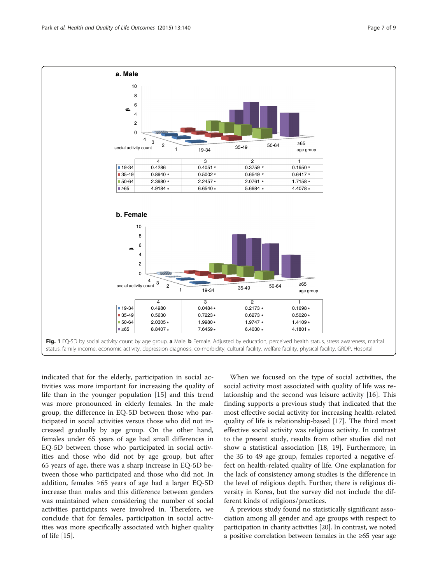<span id="page-6-0"></span>

indicated that for the elderly, participation in social activities was more important for increasing the quality of life than in the younger population [\[15](#page-8-0)] and this trend was more pronounced in elderly females. In the male group, the difference in EQ-5D between those who participated in social activities versus those who did not increased gradually by age group. On the other hand, females under 65 years of age had small differences in EQ-5D between those who participated in social activities and those who did not by age group, but after 65 years of age, there was a sharp increase in EQ-5D between those who participated and those who did not. In addition, females ≥65 years of age had a larger EQ-5D increase than males and this difference between genders was maintained when considering the number of social activities participants were involved in. Therefore, we conclude that for females, participation in social activities was more specifically associated with higher quality of life [\[15\]](#page-8-0).

When we focused on the type of social activities, the social activity most associated with quality of life was relationship and the second was leisure activity [[16](#page-8-0)]. This finding supports a previous study that indicated that the most effective social activity for increasing health-related quality of life is relationship-based [[17\]](#page-8-0). The third most effective social activity was religious activity. In contrast to the present study, results from other studies did not show a statistical association [\[18, 19\]](#page-8-0). Furthermore, in the 35 to 49 age group, females reported a negative effect on health-related quality of life. One explanation for the lack of consistency among studies is the difference in the level of religious depth. Further, there is religious diversity in Korea, but the survey did not include the different kinds of religions/practices.

A previous study found no statistically significant association among all gender and age groups with respect to participation in charity activities [\[20\]](#page-8-0). In contrast, we noted a positive correlation between females in the ≥65 year age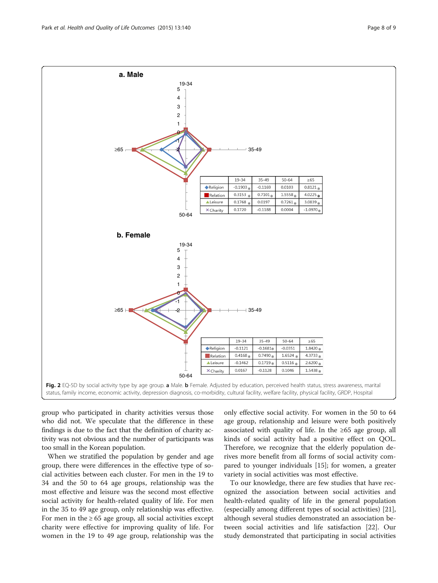<span id="page-7-0"></span>

group who participated in charity activities versus those who did not. We speculate that the difference in these findings is due to the fact that the definition of charity activity was not obvious and the number of participants was too small in the Korean population.

When we stratified the population by gender and age group, there were differences in the effective type of social activities between each cluster. For men in the 19 to 34 and the 50 to 64 age groups, relationship was the most effective and leisure was the second most effective social activity for health-related quality of life. For men in the 35 to 49 age group, only relationship was effective. For men in the  $\geq 65$  age group, all social activities except charity were effective for improving quality of life. For women in the 19 to 49 age group, relationship was the

only effective social activity. For women in the 50 to 64 age group, relationship and leisure were both positively associated with quality of life. In the  $\geq 65$  age group, all kinds of social activity had a positive effect on QOL. Therefore, we recognize that the elderly population derives more benefit from all forms of social activity compared to younger individuals [[15](#page-8-0)]; for women, a greater variety in social activities was most effective.

To our knowledge, there are few studies that have recognized the association between social activities and health-related quality of life in the general population (especially among different types of social activities) [\[21](#page-8-0)], although several studies demonstrated an association between social activities and life satisfaction [[22](#page-8-0)]. Our study demonstrated that participating in social activities